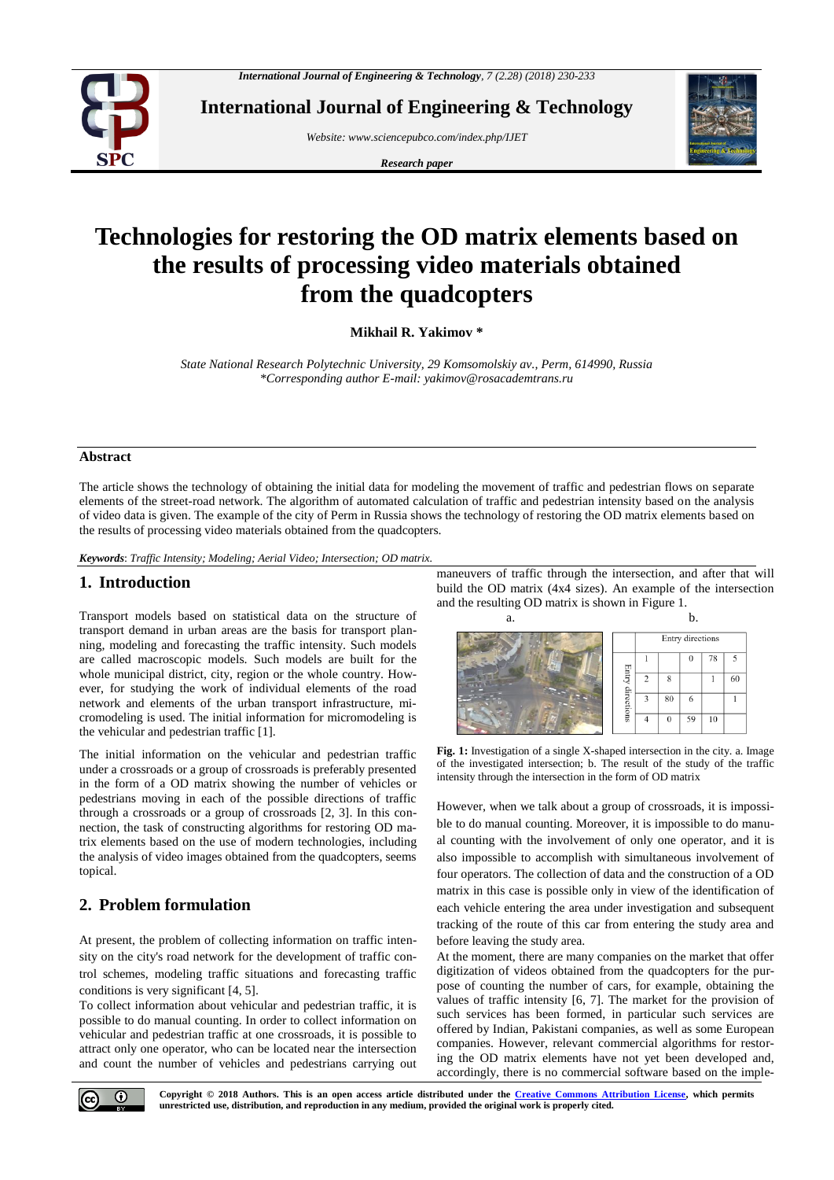

**International Journal of Engineering & Technology**

*Website: www.sciencepubco.com/index.php/IJET* 

*Research paper*



# **Technologies for restoring the OD matrix elements based on the results of processing video materials obtained from the quadcopters**

**Mikhail R. Yakimov \***

*State National Research Polytechnic University, 29 Komsomolskiy av., Perm, 614990, Russia \*Corresponding author E-mail: yakimov@rosacademtrans.ru*

#### **Abstract**

The article shows the technology of obtaining the initial data for modeling the movement of traffic and pedestrian flows on separate elements of the street-road network. The algorithm of automated calculation of traffic and pedestrian intensity based on the analysis of video data is given. The example of the city of Perm in Russia shows the technology of restoring the OD matrix elements based on the results of processing video materials obtained from the quadcopters.

*Keywords*: *Traffic Intensity; Modeling; Aerial Video; Intersection; OD matrix.*

#### **1. Introduction**

Transport models based on statistical data on the structure of transport demand in urban areas are the basis for transport planning, modeling and forecasting the traffic intensity. Such models are called macroscopic models. Such models are built for the whole municipal district, city, region or the whole country. However, for studying the work of individual elements of the road network and elements of the urban transport infrastructure, micromodeling is used. The initial information for micromodeling is the vehicular and pedestrian traffic [1].

The initial information on the vehicular and pedestrian traffic under a crossroads or a group of crossroads is preferably presented in the form of a OD matrix showing the number of vehicles or pedestrians moving in each of the possible directions of traffic through a crossroads or a group of crossroads [2, 3]. In this connection, the task of constructing algorithms for restoring OD matrix elements based on the use of modern technologies, including the analysis of video images obtained from the quadcopters, seems topical.

## **2. Problem formulation**

At present, the problem of collecting information on traffic intensity on the city's road network for the development of traffic control schemes, modeling traffic situations and forecasting traffic conditions is very significant [4, 5].

To collect information about vehicular and pedestrian traffic, it is possible to do manual counting. In order to collect information on vehicular and pedestrian traffic at one crossroads, it is possible to attract only one operator, who can be located near the intersection and count the number of vehicles and pedestrians carrying out maneuvers of traffic through the intersection, and after that will build the OD matrix (4x4 sizes). An example of the intersection and the resulting OD matrix is shown in Figure 1.



**Fig. 1:** Investigation of a single X-shaped intersection in the city. a. Image of the investigated intersection; b. The result of the study of the traffic intensity through the intersection in the form of OD matrix

However, when we talk about a group of crossroads, it is impossible to do manual counting. Moreover, it is impossible to do manual counting with the involvement of only one operator, and it is also impossible to accomplish with simultaneous involvement of four operators. The collection of data and the construction of a OD matrix in this case is possible only in view of the identification of each vehicle entering the area under investigation and subsequent tracking of the route of this car from entering the study area and before leaving the study area.

At the moment, there are many companies on the market that offer digitization of videos obtained from the quadcopters for the purpose of counting the number of cars, for example, obtaining the values of traffic intensity [6, 7]. The market for the provision of such services has been formed, in particular such services are offered by Indian, Pakistani companies, as well as some European companies. However, relevant commercial algorithms for restoring the OD matrix elements have not yet been developed and, accordingly, there is no commercial software based on the imple-

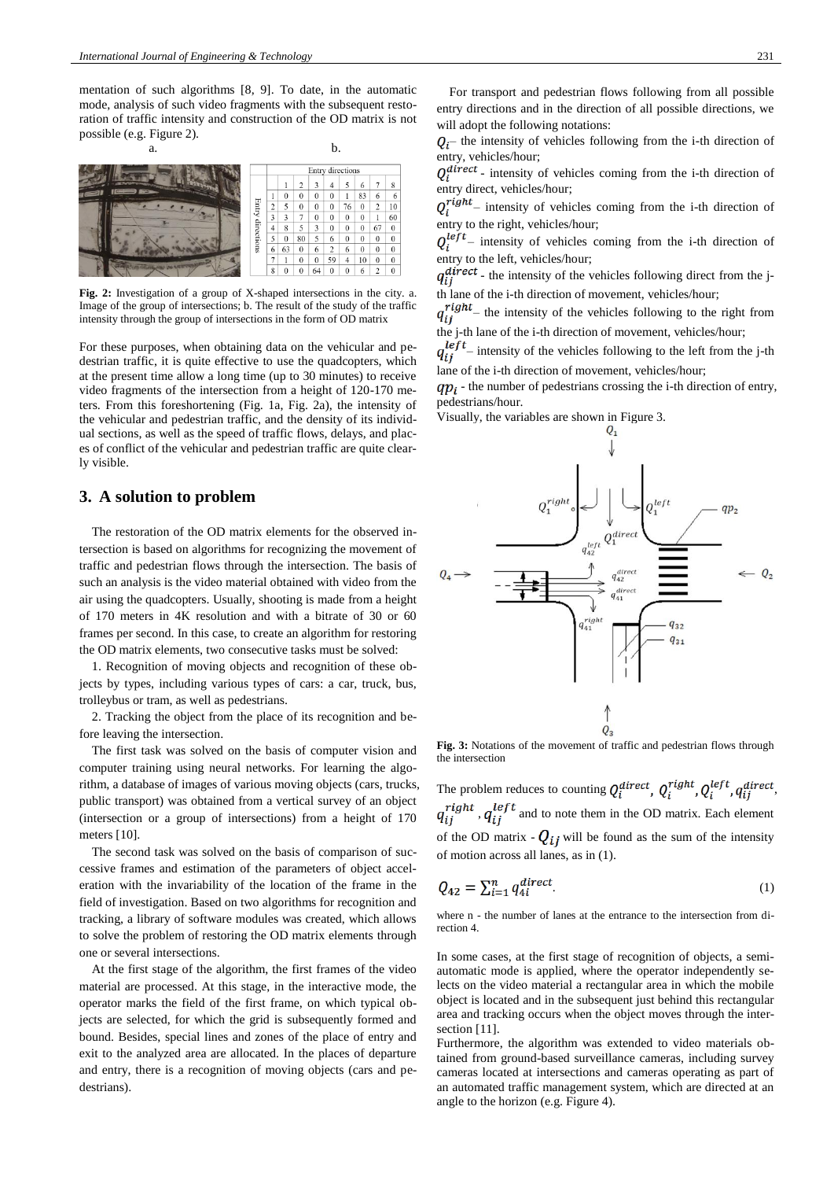mentation of such algorithms [8, 9]. To date, in the automatic mode, analysis of such video fragments with the subsequent restoration of traffic intensity and construction of the OD matrix is not possible (e.g. Figure 2).



**Fig. 2:** Investigation of a group of X-shaped intersections in the city. a. Image of the group of intersections; b. The result of the study of the traffic intensity through the group of intersections in the form of OD matrix

For these purposes, when obtaining data on the vehicular and pedestrian traffic, it is quite effective to use the quadcopters, which at the present time allow a long time (up to 30 minutes) to receive video fragments of the intersection from a height of 120-170 meters. From this foreshortening (Fig. 1a, Fig. 2a), the intensity of the vehicular and pedestrian traffic, and the density of its individual sections, as well as the speed of traffic flows, delays, and places of conflict of the vehicular and pedestrian traffic are quite clearly visible.

#### **3. A solution to problem**

The restoration of the OD matrix elements for the observed intersection is based on algorithms for recognizing the movement of traffic and pedestrian flows through the intersection. The basis of such an analysis is the video material obtained with video from the air using the quadcopters. Usually, shooting is made from a height of 170 meters in 4K resolution and with a bitrate of 30 or 60 frames per second. In this case, to create an algorithm for restoring the OD matrix elements, two consecutive tasks must be solved:

1. Recognition of moving objects and recognition of these objects by types, including various types of cars: a car, truck, bus, trolleybus or tram, as well as pedestrians.

2. Tracking the object from the place of its recognition and before leaving the intersection.

The first task was solved on the basis of computer vision and computer training using neural networks. For learning the algorithm, a database of images of various moving objects (cars, trucks, public transport) was obtained from a vertical survey of an object (intersection or a group of intersections) from a height of 170 meters [10].

The second task was solved on the basis of comparison of successive frames and estimation of the parameters of object acceleration with the invariability of the location of the frame in the field of investigation. Based on two algorithms for recognition and tracking, a library of software modules was created, which allows to solve the problem of restoring the OD matrix elements through one or several intersections.

At the first stage of the algorithm, the first frames of the video material are processed. At this stage, in the interactive mode, the operator marks the field of the first frame, on which typical objects are selected, for which the grid is subsequently formed and bound. Besides, special lines and zones of the place of entry and exit to the analyzed area are allocated. In the places of departure and entry, there is a recognition of moving objects (cars and pedestrians).

For transport and pedestrian flows following from all possible entry directions and in the direction of all possible directions, we will adopt the following notations:

 $Q_i$  – the intensity of vehicles following from the i-th direction of entry, vehicles/hour;

 $Q_i^{direct}$  - intensity of vehicles coming from the i-th direction of entry direct, vehicles/hour;

 $Q_i^{right}$ – intensity of vehicles coming from the i-th direction of entry to the right, vehicles/hour;

 $Q_i^{left}$  – intensity of vehicles coming from the i-th direction of entry to the left, vehicles/hour;

 $q_{ij}^{direct}$  - the intensity of the vehicles following direct from the jth lane of the i-th direction of movement, vehicles/hour;

 $q_{ij}^{right}$  – the intensity of the vehicles following to the right from the j-th lane of the i-th direction of movement, vehicles/hour;

 $q_{ij}^{left}$  – intensity of the vehicles following to the left from the j-th lane of the i-th direction of movement, vehicles/hour;

 $qp_i$  - the number of pedestrians crossing the i-th direction of entry, pedestrians/hour.

Visually, the variables are shown in Figure 3.



**Fig. 3:** Notations of the movement of traffic and pedestrian flows through the intersection

The problem reduces to counting  $Q_i^{direct}$ ,  $Q_i^{right}$ ,  $Q_i^{left}$ ,  $q_{ij}^{direct}$ ,  $q_{ij}^{right}$  ,  $q_{ij}^{left}$  and to note them in the OD matrix. Each element of the OD matrix -  $Q_{ij}$  will be found as the sum of the intensity of motion across all lanes, as in (1).

$$
Q_{42} = \sum_{i=1}^{n} q_{4i}^{\text{direct}}.
$$
 (1)

where n - the number of lanes at the entrance to the intersection from direction 4.

In some cases, at the first stage of recognition of objects, a semiautomatic mode is applied, where the operator independently selects on the video material a rectangular area in which the mobile object is located and in the subsequent just behind this rectangular area and tracking occurs when the object moves through the intersection [11].

Furthermore, the algorithm was extended to video materials obtained from ground-based surveillance cameras, including survey cameras located at intersections and cameras operating as part of an automated traffic management system, which are directed at an angle to the horizon (e.g. Figure 4).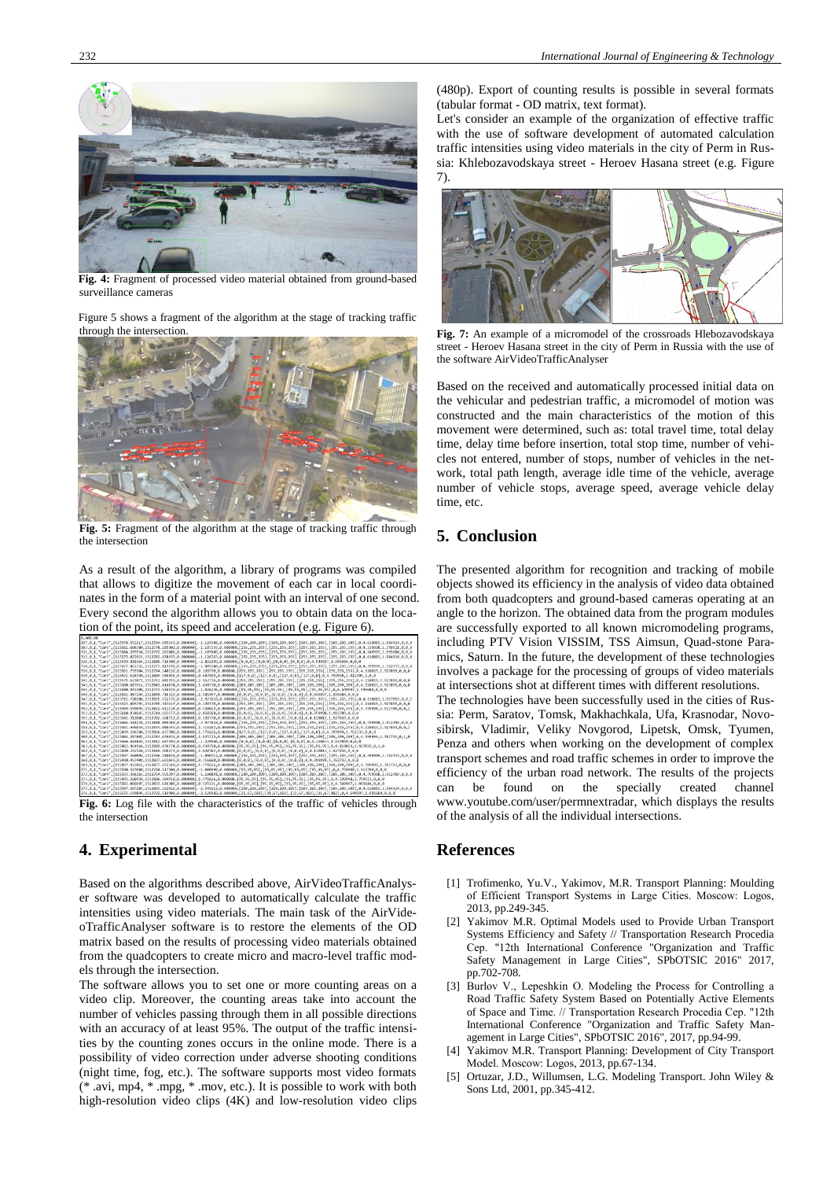

**Fig. 4:** Fragment of processed video material obtained from ground-based surveillance cameras

Figure 5 shows a fragment of the algorithm at the stage of tracking traffic



**Fig. 5:** Fragment of the algorithm at the stage of tracking traffic through the intersection

As a result of the algorithm, a library of programs was compiled that allows to digitize the movement of each car in local coordinates in the form of a material point with an interval of one second. Every second the algorithm allows you to obtain data on the location of the point, its speed and acceleration (e.g. Figure 6).

| 0.489.00                                                                                                                                                                                                                       |  |
|--------------------------------------------------------------------------------------------------------------------------------------------------------------------------------------------------------------------------------|--|
|                                                                                                                                                                                                                                |  |
| 303,0,1,"Car6", [115581.606780,1512778.185902,0.000000],-1.107337,0.000000, [255,255,255], [255,255,255], [255,255,255], [255,255,255], 8,4.339998,1.799511,0,0,0                                                              |  |
| 311, 0, 1, "Car2", [115584.595554,1512772.201886, 0.000000], -1.105949, 0.000000, [255,255,255], [255,255,255], [255,255,255], [255,255], 0,4.549997, 1.995684, 0,0,0                                                          |  |
|                                                                                                                                                                                                                                |  |
| 326.0.1. "Car2", [115599.818364.1512806.716508.0.0000001.-2.892299.0.000000.[0.0.0].[0.0.0].[0.0.0].[0.0.0].[0.0.0]. 0.4.549997.1.995684.0.0.0                                                                                 |  |
| 334,0,1,"Car5", [115577.861332,1512777.819196,0.000000],-1.009340,0.000000,[255,255,255],[255,255,255],[255,255,255],[255,255],854.399999,1.762733,0,0,0                                                                       |  |
| 336,0,1,"Car1",[115391.739304,1512794.140122,0.000000],0.128770,0.000000,[255,255,255],[255,255],[255,255],[255,255],[255,255],0,255,255],0,4.110013,1.927859,0,0                                                              |  |
| 338.0.1. "Car4", [115471.628740.1512804.346856.0.0000001.0.687999.0.000000.[127.0.0].[127.0.0].[127.0.0].[127.0.0].[127.0.0]. [127.0.2]                                                                                        |  |
| 341,0,1,"Car1",[115575.623872,1512761.889559,0.000000],2.962716,0.000000,[255,255,255],[255,255,255],[255,255],[255,255],[255,255],0,255,255],0,4.110013,1.927859,0,0                                                          |  |
| 341,0,1,"Car1",[115500.603916,1512843.414874,0.000000],1.434710,0.000000,[209,209,209],[209,209,209],[209,209,209],[209,209],0,209,209],0,4.110013,1.927859,0,0                                                                |  |
| 345,0,1,"Car2",[115580.943308,1512771.536939,0.000000],-1.026236,0.000000,[95,95,95],[95,95,95],[95,95,95],[95,95,95],[95,95,95],8,4.549997,1.995684,0,0,0                                                                     |  |
| 346.0.1. "Car2", [115501.487144.1512849.716323.0.0000001.1.585457.0.000000.[0.0.0].[0.0.0].[0.0.0].[0.0.0].[0.0.0].4.549997.1.995684.0.0.0                                                                                     |  |
| 347.0.1."Car1", [115711.728180,1512825.552576.0.0000001.-2.977610.0.000000.[255.255.255], [255.255.2551.[255.255.2551.[255.255.255.255.255.255.2551.0.4.118013.1.927859.0.0.1                                                  |  |
| 351,0,1,"Car1", [115323.805793,1512785.343617,0.000000],0.128770,0.000000,[255,255,255], [255,255,255], [255,255,255], [255,255,255],0,34.110013,1.927859,0,00                                                                 |  |
|                                                                                                                                                                                                                                |  |
| 353.0.1. "Car4", [115610.934647,1512714.183577.0.0000003.2.058568.0.000000.[0.0.0][0.0.0][0.0.0][0.0.03.10.0.03.4.759998.1.912709.0.0.0                                                                                        |  |
| 355,0,1,"Car1",[115341.312089,1512782.568712,0.000000],0.128770,0.000000,[0,0,0],[0,0,0],[0,0,0],[0,0,0],0,4.110013,1.927859,0,0,0                                                                                             |  |
| 356,0,1,"Car4", [115684.518228,1512818.009380,0.000000],-2.977610,0.000000, [255,255,255], [255,255,255], [255,255,255], [255,255,255], 0,4.759998,1.912709,0,0,0                                                              |  |
|                                                                                                                                                                                                                                |  |
| 359,0,1,"Car5",[115499.596740,1512866.477708,0.000000],1.771626,0.000000,[127,0,0],[127,0,0],[127,0,0],[127,0,0],64.399999,1.762733,0,0,0                                                                                      |  |
| 360,0,1, "Car5", [115484.287885,1512783.676831,8.000800],1.925725,0.000080, [209,209,209], [209,209], [209,209], [209,209], [209,209], [209,209],0,4.399999,1.762733,0,1,0                                                     |  |
| 362, 0, 1, "Car1", [115566.694845, 1512812.697292, 0.000000], -1.229946, 0.000000, [0,0,0], [0,0,0], [0,0,0], [0,0,0], [0,0,0], 0,4.110013, 1.927859, 0,0,0                                                                    |  |
| 363,0,1,"Car1",[115482.964964,1512809.476174,0.000000],0.934750,0.000000,[95,95,95],[95,95,95],[95,95,95],[95,95,95],[95,95,95],[46.110013,1.927859,0,1,0                                                                      |  |
| 364.0.1. "Car1", [115490.242560.1512819.506673.0.0000001.1.020582.0.000000.[0.0.0],[0.0.0],[0.0.0],[0.0.0],[0.0.0],0.4.110013.1.927859.0.0.0                                                                                   |  |
| 367,0,1,"Car5", [115587.560894,1512766.240036,0.000000],-1.090712,0.000000,[255,255,255],[255,255,255],[255,255,255],[255,255],[255,255],0,4.399999,1.762733,0,0,0                                                             |  |
| 368, 0, 1, "Car5", [115490.453409, 1512827. 691843, 0.000000], 0.716660, 0.000000, [0,0,0], [0,0,0], [0,0,0], [0,0,0], 0,4.399999, 1.762733, 0,0,0                                                                             |  |
| 369.0.1. "Car5", [115497.423862.1512877.151340.0.0000001.1.771626.0.000000.[209.209.209]. [209.209.2091. [209.209.209]. [209.209.209]. [209.209.209]. [209.209.209]. [209.209]. [209.209]                                      |  |
| 371.0.1. "Car4", [115590.327080.1512760.517504.0.0000001.-1.000990.0.000000.[95.95.95.951.]95.95.951.[95.95.951.[95.95.951.0.4.759998.1.912709.0.0.0                                                                           |  |
| 372.0.1."Car4", [115593.396165.1512754.555297.0.000000].-1.100891.0.000000.[209.209.209].[209.209.209].[209.209.209].[209.209.209].[209.209.209].[4.759998.1.912709.0.0.0                                                      |  |
| 373.0.1. "Car6", [115495.560428.1512886.304918.0.000000],1.771626.0.000000.[95.95.95], [95.95.95], [95.95.95], [95.95.95], [95.95.95], [95.95.95], 2.799511.0.0.0                                                              |  |
| 374.0.1. "Car2", [115502.066697.1512833.426306.0.0000001.0.525211.0.000000.[95.95.951.[95.95.951.[95.95.951.[95.95.951.05.95.951.0.4.549997.1.995684.0.0.0.0                                                                   |  |
|                                                                                                                                                                                                                                |  |
| 376.0.1. "Car2", [115575.199899.1512792.519988.0.000000],-2.129982.0.000000. [21.67.182], [21.67.182], [21.67.182], [21.67.182], [21.67.182], [21.67.182], [21.67.182], [21.67.182], [21.67.182], [21.67.182], [21.67.182], [2 |  |

**Fig. 6:** Log file with the characteristics of the traffic of vehicles through the intersection

## **4. Experimental**

Based on the algorithms described above, AirVideoTrafficAnalyser software was developed to automatically calculate the traffic intensities using video materials. The main task of the AirVideoTrafficAnalyser software is to restore the elements of the OD matrix based on the results of processing video materials obtained from the quadcopters to create micro and macro-level traffic models through the intersection.

The software allows you to set one or more counting areas on a video clip. Moreover, the counting areas take into account the number of vehicles passing through them in all possible directions with an accuracy of at least 95%. The output of the traffic intensities by the counting zones occurs in the online mode. There is a possibility of video correction under adverse shooting conditions (night time, fog, etc.). The software supports most video formats (\* .avi, mp4, \* .mpg, \* .mov, etc.). It is possible to work with both high-resolution video clips (4K) and low-resolution video clips

(480p). Export of counting results is possible in several formats (tabular format - OD matrix, text format).

Let's consider an example of the organization of effective traffic with the use of software development of automated calculation traffic intensities using video materials in the city of Perm in Russia: Khlebozavodskaya street - Heroev Hasana street (e.g. Figure 7).



**Fig. 7:** An example of a micromodel of the crossroads Hlebozavodskaya street - Heroev Hasana street in the city of Perm in Russia with the use of the software AirVideoTrafficAnalyser

Based on the received and automatically processed initial data on the vehicular and pedestrian traffic, a micromodel of motion was constructed and the main characteristics of the motion of this movement were determined, such as: total travel time, total delay time, delay time before insertion, total stop time, number of vehicles not entered, number of stops, number of vehicles in the network, total path length, average idle time of the vehicle, average number of vehicle stops, average speed, average vehicle delay time, etc.

### **5. Conclusion**

The presented algorithm for recognition and tracking of mobile objects showed its efficiency in the analysis of video data obtained from both quadcopters and ground-based cameras operating at an angle to the horizon. The obtained data from the program modules are successfully exported to all known micromodeling programs, including PTV Vision VISSIM, TSS Aimsun, Quad-stone Paramics, Saturn. In the future, the development of these technologies involves a package for the processing of groups of video materials at intersections shot at different times with different resolutions. The technologies have been successfully used in the cities of Rus-

sia: Perm, Saratov, Tomsk, Makhachkala, Ufa, Krasnodar, Novosibirsk, Vladimir, Veliky Novgorod, Lipetsk, Omsk, Tyumen, Penza and others when working on the development of complex transport schemes and road traffic schemes in order to improve the efficiency of the urban road network. The results of the projects can be found on the specially created channel be found on the specially created www.youtube.com/user/permnextradar, which displays the results of the analysis of all the individual intersections.

#### **References**

- [1] Trofimenko, Yu.V., Yakimov, M.R. Transport Planning: Moulding of Efficient Transport Systems in Large Cities. Мoscow: Logos, 2013, pp.249-345.
- [2] Yakimov M.R. Optimal Models used to Provide Urban Transport Systems Efficiency and Safety // Transportation Research Procedia Сер. "12th International Conference "Organization and Traffic Safety Management in Large Cities", SPbOTSIC 2016" 2017, pp.702-708.
- [3] Burlov V., Lepеshkin O. Modeling the Process for Controlling a Road Traffic Safety System Based on Potentially Active Elements of Space and Time. // Transportation Research Procedia Сер. "12th International Conference "Organization and Traffic Safety Management in Large Cities", SPbOTSIC 2016", 2017, pp.94-99.
- Yakimov M.R. Transport Planning: Development of City Transport Model. Мoscow: Logos, 2013, pp.67-134.
- Ortuzar, J.D., Willumsen, L.G. Modeling Transport. John Wiley & Sons Ltd, 2001, pp.345-412.